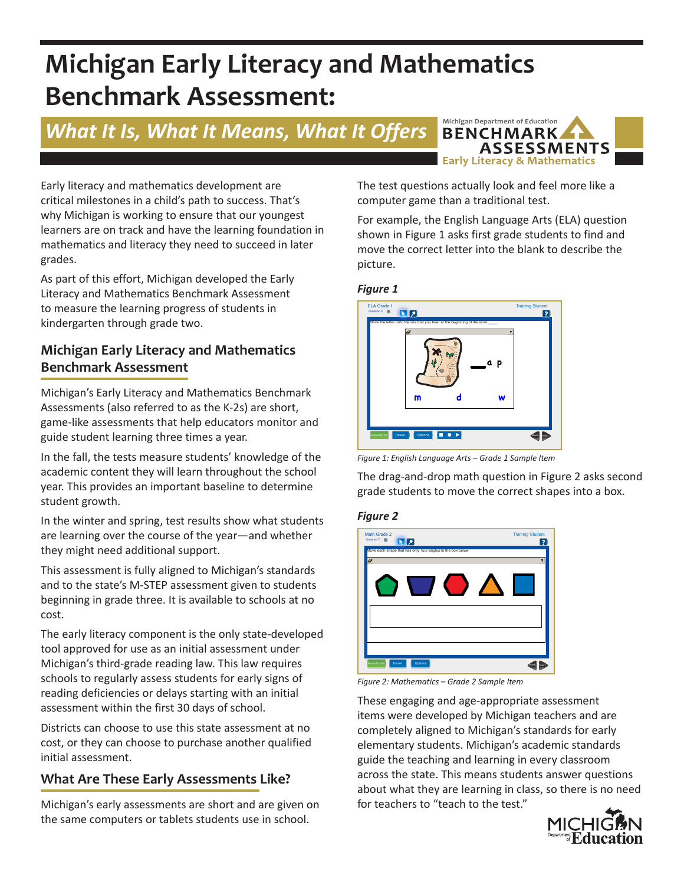# **Michigan Early Literacy and Mathematics Benchmark Assessment:**

# *What It Is, What It Means, What It Offers*



Early literacy and mathematics development are critical milestones in a child's path to success. That's why Michigan is working to ensure that our youngest learners are on track and have the learning foundation in mathematics and literacy they need to succeed in later grades.

As part of this effort, Michigan developed the Early Literacy and Mathematics Benchmark Assessment to measure the learning progress of students in kindergarten through grade two.

# **Michigan Early Literacy and Mathematics Benchmark Assessment**

Michigan's Early Literacy and Mathematics Benchmark Assessments (also referred to as the K-2s) are short, game-like assessments that help educators monitor and guide student learning three times a year.

In the fall, the tests measure students' knowledge of the academic content they will learn throughout the school year. This provides an important baseline to determine student growth.

In the winter and spring, test results show what students are learning over the course of the year—and whether they might need additional support.

This assessment is fully aligned to Michigan's standards and to the state's M-STEP assessment given to students beginning in grade three. It is available to schools at no cost.

The early literacy component is the only state-developed tool approved for use as an initial assessment under Michigan's third-grade reading law. This law requires schools to regularly assess students for early signs of reading deficiencies or delays starting with an initial assessment within the first 30 days of school.

Districts can choose to use this state assessment at no cost, or they can choose to purchase another qualified initial assessment.

# **What Are These Early Assessments Like?**

Michigan's early assessments are short and are given on the same computers or tablets students use in school.

The test questions actually look and feel more like a computer game than a traditional test.

For example, the English Language Arts (ELA) question shown in Figure 1 asks first grade students to find and move the correct letter into the blank to describe the picture.

#### *Figure 1*



*Figure 1: English Language Arts – Grade 1 Sample Item*

The drag-and-drop math question in Figure 2 asks second grade students to move the correct shapes into a box.

#### *Figure 2*



*Figure 2: Mathematics – Grade 2 Sample Item*

These engaging and age-appropriate assessment items were developed by Michigan teachers and are completely aligned to Michigan's standards for early elementary students. Michigan's academic standards guide the teaching and learning in every classroom across the state. This means students answer questions about what they are learning in class, so there is no need for teachers to "teach to the test."